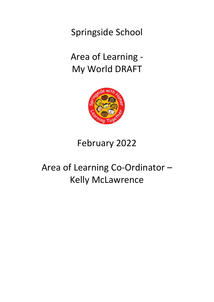Springside School

Area of Learning - My World DRAFT



# February 2022

# Area of Learning Co-Ordinator – Kelly McLawrence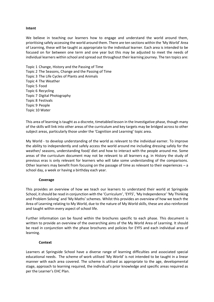## **Intent**

We believe in teaching our learners how to engage and understand the world around them, prioritising safely accessing the world around them. There are ten sections within the 'My World' Area of Learning, these will be taught as appropriate to the individual learner. Each area is intended to be focused on for between one term and one year but this may be adjusted to meet the needs of individual learners within school and spread out throughout their learning journey. The ten topics are:

Topic 1 Change, History and the Passing of Time Topic 2 The Seasons, Change and the Passing of Time Topic 3 The Life Cycles of Plants and Animals Topic 4 The Weather Topic 5 Food Topic 6 Recycling Topic 7 Digital Photography Topic 8 Festivals Topic 9 People Topic 10 Water

This area of learning is taught as a discrete, timetabled lesson in the Investigative phase, though many of the skills will link into other areas of the curriculum and key targets may be bridged across to other subject areas, particularly those under the 'Cognition and Learning' topic area.

My World - to develop understanding of the world as relevant to the individual earner. To improve the ability to independently and safely access the world around me including dressing safely for the weather/ seasons, understanding food/ diet and how to interact with the people around me. Some areas of the curriculum document may not be relevant to all learners e.g. in History the study of previous eras is only relevant for learners who will take some understanding of the comparisons. Other learners may benefit from focusing on the passage of time as relevant to their experiences – a school day, a week or having a birthday each year.

# **Coverage**

This provides an overview of how we teach our learners to understand their world at Springside School, it should be read in conjunction with the 'Curriculum', 'EYFS', 'My Independence' 'My Thinking and Problem Solving' and 'My Maths' schemes. Whilst this provides an overview of how we teach the Area of Learning relating to My World, due to the nature of My World skills, these are also reinforced and taught within every aspect of school life.

Further information can be found within the brochures specific to each phase. This document is written to provide an overview of the overarching aims of the My World Area of Learning. It should be read in conjunction with the phase brochures and policies for EYFS and each individual area of learning.

#### **Context**

Learners at Springside School have a diverse range of learning difficulties and associated special educational needs. The scheme of work utilised 'My World' is not intended to be taught in a linear manner with each area covered. The scheme is utilised as appropriate to the age, developmental stage, approach to learning required, the individual's prior knowledge and specific areas required as per the Learner's EHC Plan.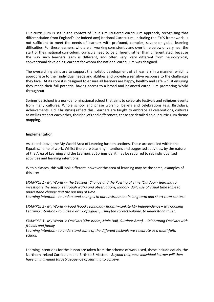Our curriculum is set in the context of Equals multi-tiered curriculum approach, recognising that differentiation from England's (or indeed any) National Curriculum, including the EYFS framework, is not sufficient to meet the needs of learners with profound, complex, severe or global learning difficulties. For these learners, who are all working consistently and over time below or very near the start of their national curriculum, curricula need to be different rather than differentiated, because the way such learners learn is different, and often very, very different from neuro-typical, conventional developing learners for whom the national curriculum was designed.

The overarching aims are to support the holistic development of all learners in a manner, which is appropriate to their individual needs and abilities and provide a sensitive response to the challenges they face. At its core it is designed to ensure all learners are happy, healthy and safe whilst ensuring they reach their full potential having access to a broad and balanced curriculum promoting World throughout.

Springside School is a non-denominational school that aims to celebrate festivals and religious events from many cultures. Whole school and phase worship, beliefs and celebrations (e.g. Birthdays, Achievements, Eid, Christmas) reflect this. Learners are taught to embrace all celebrations, cultures as well as respect each other, their beliefs and differences; these are detailed on our curriculum theme mapping.

# **Implementation**

As stated above, the My World Area of Learning has ten sections. These are detailed within the Equals scheme of work. Whilst there are Learning Intentions and suggested activities, by the nature of the Area of Learning and the Learners at Springside, it may be required to set individualised activities and learning intentions.

Within classes, this will look different, however the area of learning may be the same, examples of this are:

*EXAMPLE 1 - My World -> The Seasons, Change and the Passing of Time (Outdoor - learning to investigate the seasons through walks and observations, Indoor- daily use of visual time table to understand change and the passing of time.*

*Learning intention - to understand changes to our environment in long term and short term context.*

*EXAMPLE 2 - My World -> Food (Food Technology Room) – Link to My Independence – My Cooking Learning intention - to make a drink of squash, using the correct volume, to understand thirst.*

*EXAMPLE 3 - My World -> Festivals (Classroom, Main Hall, Outdoor Area) – Celebrating Festivals with friends and family*

*Learning intention - to understand some of the different festivals we celebrate as a multi-faith school.*

Learning Intentions for the lesson are taken from the scheme of work used, these include equals, the Northern Ireland Curriculum and Birth to 5 Matters - *Beyond this, each individual learner will then have an individual target/ sequence of learning to achieve.*